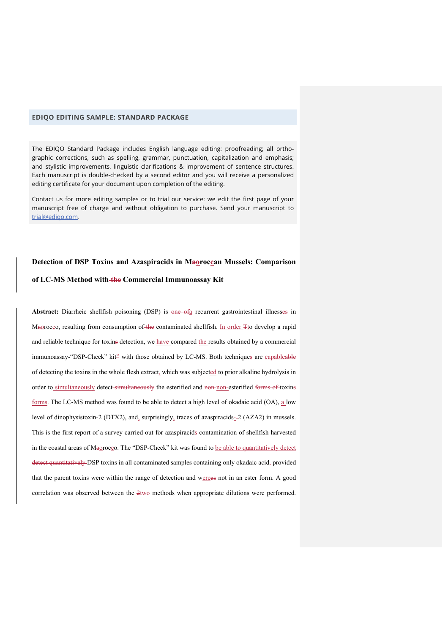## **EDIQO EDITING SAMPLE: STANDARD PACKAGE**

The EDIQO Standard Package includes English language editing: proofreading; all orthographic corrections, such as spelling, grammar, punctuation, capitalization and emphasis; and stylistic improvements, linguistic clarifications & improvement of sentence structures. Each manuscript is double-checked by a second editor and you will receive a personalized editing certificate for your document upon completion of the editing.

Contact us for more editing samples or to trial our service: we edit the first page of your manuscript free of charge and without obligation to purchase. Send your manuscript to trial@ediqo.com.

## Detection of DSP Toxins and Azaspiracids in Maoroccan Mussels: Comparison

## **of LC-MS Method with the Commercial Immunoassay Kit**

Abstract: Diarrheic shellfish poisoning (DSP) is one of<sub>a</sub> recurrent gastrointestinal illnesses in Maorocco, resulting from consumption of the contaminated shellfish. In order Tto develop a rapid and reliable technique for toxins detection, we have compared the results obtained by a commercial immunoassay-"DSP-Check" kit" with those obtained by LC-MS. Both techniques are capableable of detecting the toxins in the whole flesh extract, which was subjected to prior alkaline hydrolysis in order to simultaneously detect simultaneously the esterified and non-non-esterified forms of toxins forms. The LC-MS method was found to be able to detect a high level of okadaic acid (OA), a low level of dinophysistoxin-2 (DTX2), and, surprisingly, traces of azaspiracids- $-2$  (AZA2) in mussels. This is the first report of a survey carried out for azaspiracids contamination of shellfish harvested in the coastal areas of Maorocco. The "DSP-Check" kit was found to be able to quantitatively detect detect quantitatively DSP toxins in all contaminated samples containing only okadaic acid, provided that the parent toxins were within the range of detection and wereas not in an ester form. A good correlation was observed between the  $2$ two methods when appropriate dilutions were performed.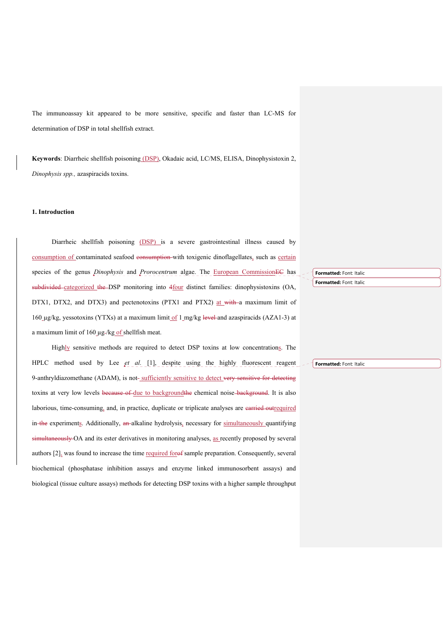The immunoassay kit appeared to be more sensitive, specific and faster than LC-MS for determination of DSP in total shellfish extract.

**Keywords**: Diarrheic shellfish poisoning (DSP), Okadaic acid, LC/MS, ELISA, Dinophysistoxin 2, *Dinophysis spp.,* azaspiracids toxins.

## **1. Introduction**

Diarrheic shellfish poisoning (DSP) is a severe gastrointestinal illness caused by consumption of contaminated seafood consumption with toxigenic dinoflagellates, such as certain species of the genus *Dinophysis* and *Prorocentrum* algae. The European CommissionEC has subdivided categorized the DSP monitoring into 4four distinct families: dinophysistoxins (OA, DTX1, DTX2, and DTX3) and pectenotoxins (PTX1 and PTX2) at with a maximum limit of 160 µg/kg, yessotoxins (YTXs) at a maximum limit of 1 mg/kg level and azaspiracids (AZA1-3) at a maximum limit of 160 µg-/kg of shellfish meat.

Highly sensitive methods are required to detect DSP toxins at low concentrations. The HPLC method used by Lee *et al.* [1], despite using the highly fluorescent reagent 9-anthryldiazomethane (ADAM), is not-sufficiently sensitive to detect very sensitive for detecting toxins at very low levels because of due to background the chemical noise background. It is also laborious, time-consuming, and, in practice, duplicate or triplicate analyses are carried outrequired in the experiments. Additionally, an alkaline hydrolysis, necessary for simultaneously quantifying simultaneously OA and its ester derivatives in monitoring analyses, as recently proposed by several authors  $[2]_a$  was found to increase the time required for  $\theta$  sample preparation. Consequently, several biochemical (phosphatase inhibition assays and enzyme linked immunosorbent assays) and biological (tissue culture assays) methods for detecting DSP toxins with a higher sample throughput **Formatted:** Font: Italic **Formatted:** Font: Italic

**Formatted:** Font: Italic